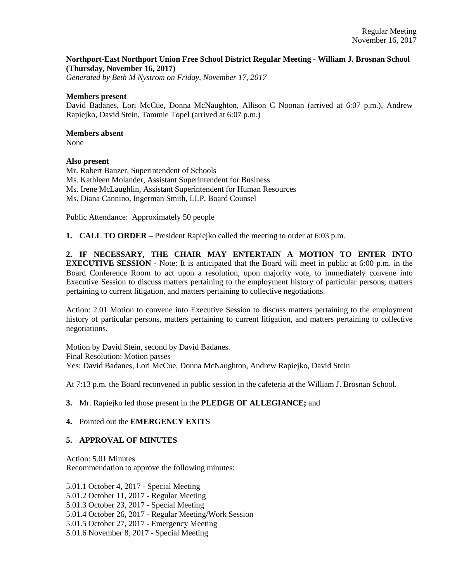# **Northport-East Northport Union Free School District Regular Meeting - William J. Brosnan School (Thursday, November 16, 2017)**

*Generated by Beth M Nystrom on Friday, November 17, 2017*

#### **Members present**

David Badanes, Lori McCue, Donna McNaughton, Allison C Noonan (arrived at 6:07 p.m.), Andrew Rapiejko, David Stein, Tammie Topel (arrived at 6:07 p.m.)

# **Members absent**

None

### **Also present**

Mr. Robert Banzer, Superintendent of Schools Ms. Kathleen Molander, Assistant Superintendent for Business Ms. Irene McLaughlin, Assistant Superintendent for Human Resources Ms. Diana Cannino, Ingerman Smith, LLP, Board Counsel

Public Attendance: Approximately 50 people

**1. CALL TO ORDER** – President Rapiejko called the meeting to order at 6:03 p.m.

**2. IF NECESSARY, THE CHAIR MAY ENTERTAIN A MOTION TO ENTER INTO EXECUTIVE SESSION** - Note: It is anticipated that the Board will meet in public at 6:00 p.m. in the Board Conference Room to act upon a resolution, upon majority vote, to immediately convene into Executive Session to discuss matters pertaining to the employment history of particular persons, matters pertaining to current litigation, and matters pertaining to collective negotiations.

Action: 2.01 Motion to convene into Executive Session to discuss matters pertaining to the employment history of particular persons, matters pertaining to current litigation, and matters pertaining to collective negotiations.

Motion by David Stein, second by David Badanes. Final Resolution: Motion passes Yes: David Badanes, Lori McCue, Donna McNaughton, Andrew Rapiejko, David Stein

At 7:13 p.m. the Board reconvened in public session in the cafeteria at the William J. Brosnan School.

# **3.** Mr. Rapiejko led those present in the **PLEDGE OF ALLEGIANCE;** and

# **4.** Pointed out the **EMERGENCY EXITS**

# **5. APPROVAL OF MINUTES**

Action: 5.01 Minutes Recommendation to approve the following minutes:

5.01.1 October 4, 2017 - Special Meeting 5.01.2 October 11, 2017 - Regular Meeting 5.01.3 October 23, 2017 - Special Meeting 5.01.4 October 26, 2017 - Regular Meeting/Work Session 5.01.5 October 27, 2017 - Emergency Meeting 5.01.6 November 8, 2017 - Special Meeting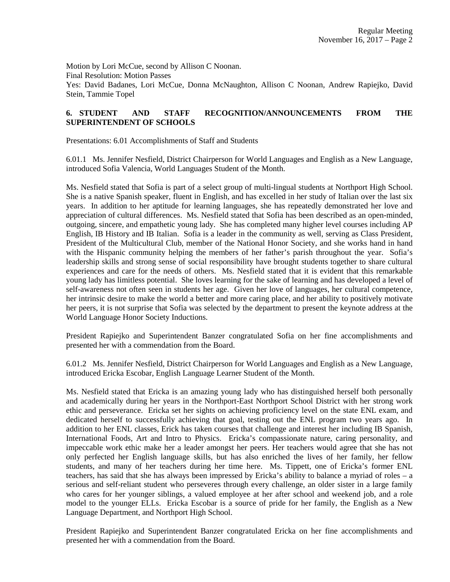Motion by Lori McCue, second by Allison C Noonan. Final Resolution: Motion Passes Yes: David Badanes, Lori McCue, Donna McNaughton, Allison C Noonan, Andrew Rapiejko, David Stein, Tammie Topel

# **6. STUDENT AND STAFF RECOGNITION/ANNOUNCEMENTS FROM THE SUPERINTENDENT OF SCHOOLS**

Presentations: 6.01 Accomplishments of Staff and Students

6.01.1 Ms. Jennifer Nesfield, District Chairperson for World Languages and English as a New Language, introduced Sofia Valencia, World Languages Student of the Month.

Ms. Nesfield stated that Sofia is part of a select group of multi-lingual students at Northport High School. She is a native Spanish speaker, fluent in English, and has excelled in her study of Italian over the last six years. In addition to her aptitude for learning languages, she has repeatedly demonstrated her love and appreciation of cultural differences. Ms. Nesfield stated that Sofia has been described as an open-minded, outgoing, sincere, and empathetic young lady. She has completed many higher level courses including AP English, IB History and IB Italian. Sofia is a leader in the community as well, serving as Class President, President of the Multicultural Club, member of the National Honor Society, and she works hand in hand with the Hispanic community helping the members of her father's parish throughout the year. Sofia's leadership skills and strong sense of social responsibility have brought students together to share cultural experiences and care for the needs of others. Ms. Nesfield stated that it is evident that this remarkable young lady has limitless potential. She loves learning for the sake of learning and has developed a level of self-awareness not often seen in students her age. Given her love of languages, her cultural competence, her intrinsic desire to make the world a better and more caring place, and her ability to positively motivate her peers, it is not surprise that Sofia was selected by the department to present the keynote address at the World Language Honor Society Inductions.

President Rapiejko and Superintendent Banzer congratulated Sofia on her fine accomplishments and presented her with a commendation from the Board.

6.01.2 Ms. Jennifer Nesfield, District Chairperson for World Languages and English as a New Language, introduced Ericka Escobar, English Language Learner Student of the Month.

Ms. Nesfield stated that Ericka is an amazing young lady who has distinguished herself both personally and academically during her years in the Northport-East Northport School District with her strong work ethic and perseverance. Ericka set her sights on achieving proficiency level on the state ENL exam, and dedicated herself to successfully achieving that goal, testing out the ENL program two years ago. In addition to her ENL classes, Erick has taken courses that challenge and interest her including IB Spanish, International Foods, Art and Intro to Physics. Ericka's compassionate nature, caring personality, and impeccable work ethic make her a leader amongst her peers. Her teachers would agree that she has not only perfected her English language skills, but has also enriched the lives of her family, her fellow students, and many of her teachers during her time here. Ms. Tippett, one of Ericka's former ENL teachers, has said that she has always been impressed by Ericka's ability to balance a myriad of roles – a serious and self-reliant student who perseveres through every challenge, an older sister in a large family who cares for her younger siblings, a valued employee at her after school and weekend job, and a role model to the younger ELLs. Ericka Escobar is a source of pride for her family, the English as a New Language Department, and Northport High School.

President Rapiejko and Superintendent Banzer congratulated Ericka on her fine accomplishments and presented her with a commendation from the Board.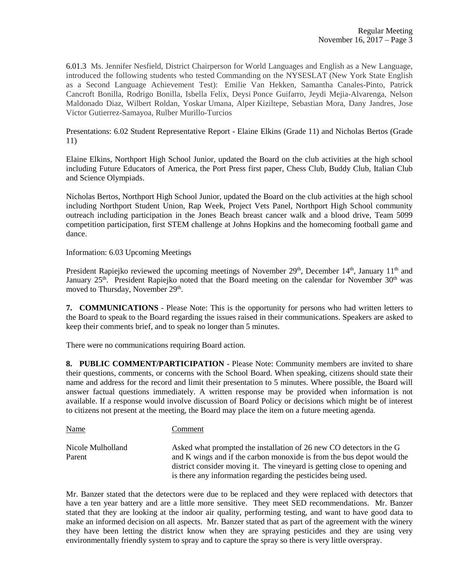6.01.3 Ms. Jennifer Nesfield, District Chairperson for World Languages and English as a New Language, introduced the following students who tested Commanding on the NYSESLAT (New York State English as a Second Language Achievement Test): Emilie Van Hekken, Samantha Canales-Pinto, Patrick Cancroft Bonilla, Rodrigo Bonilla, Isbella Felix, Deysi Ponce Guifarro, Jeydi Mejia-Alvarenga, Nelson Maldonado Diaz, Wilbert Roldan, Yoskar Umana, Alper Kiziltepe, Sebastian Mora, Dany Jandres, Jose Victor Gutierrez-Samayoa, Rulber Murillo-Turcios

Presentations: 6.02 Student Representative Report - Elaine Elkins (Grade 11) and Nicholas Bertos (Grade 11)

Elaine Elkins, Northport High School Junior, updated the Board on the club activities at the high school including Future Educators of America, the Port Press first paper, Chess Club, Buddy Club, Italian Club and Science Olympiads.

Nicholas Bertos, Northport High School Junior, updated the Board on the club activities at the high school including Northport Student Union, Rap Week, Project Vets Panel, Northport High School community outreach including participation in the Jones Beach breast cancer walk and a blood drive, Team 5099 competition participation, first STEM challenge at Johns Hopkins and the homecoming football game and dance.

Information: 6.03 Upcoming Meetings

President Rapiejko reviewed the upcoming meetings of November  $29<sup>th</sup>$ , December  $14<sup>th</sup>$ , January  $11<sup>th</sup>$  and January 25<sup>th</sup>. President Rapiejko noted that the Board meeting on the calendar for November 30<sup>th</sup> was moved to Thursday, November 29<sup>th</sup>.

**7. COMMUNICATIONS** - Please Note: This is the opportunity for persons who had written letters to the Board to speak to the Board regarding the issues raised in their communications. Speakers are asked to keep their comments brief, and to speak no longer than 5 minutes.

There were no communications requiring Board action.

**8. PUBLIC COMMENT/PARTICIPATION** - Please Note: Community members are invited to share their questions, comments, or concerns with the School Board. When speaking, citizens should state their name and address for the record and limit their presentation to 5 minutes. Where possible, the Board will answer factual questions immediately. A written response may be provided when information is not available. If a response would involve discussion of Board Policy or decisions which might be of interest to citizens not present at the meeting, the Board may place the item on a future meeting agenda.

Name Comment Nicole Mulholland Asked what prompted the installation of 26 new CO detectors in the G Parent and K wings and if the carbon monoxide is from the bus depot would the district consider moving it. The vineyard is getting close to opening and is there any information regarding the pesticides being used.

Mr. Banzer stated that the detectors were due to be replaced and they were replaced with detectors that have a ten year battery and are a little more sensitive. They meet SED recommendations. Mr. Banzer stated that they are looking at the indoor air quality, performing testing, and want to have good data to make an informed decision on all aspects. Mr. Banzer stated that as part of the agreement with the winery they have been letting the district know when they are spraying pesticides and they are using very environmentally friendly system to spray and to capture the spray so there is very little overspray.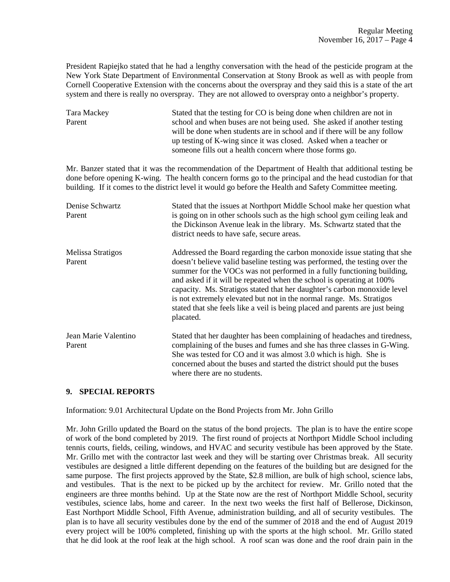President Rapiejko stated that he had a lengthy conversation with the head of the pesticide program at the New York State Department of Environmental Conservation at Stony Brook as well as with people from Cornell Cooperative Extension with the concerns about the overspray and they said this is a state of the art system and there is really no overspray. They are not allowed to overspray onto a neighbor's property.

| Tara Mackey | Stated that the testing for CO is being done when children are not in    |
|-------------|--------------------------------------------------------------------------|
| Parent      | school and when buses are not being used. She asked if another testing   |
|             | will be done when students are in school and if there will be any follow |
|             | up testing of K-wing since it was closed. Asked when a teacher or        |
|             | someone fills out a health concern where those forms go.                 |

Mr. Banzer stated that it was the recommendation of the Department of Health that additional testing be done before opening K-wing. The health concern forms go to the principal and the head custodian for that building. If it comes to the district level it would go before the Health and Safety Committee meeting.

| Denise Schwartz<br>Parent      | Stated that the issues at Northport Middle School make her question what<br>is going on in other schools such as the high school gym ceiling leak and<br>the Dickinson Avenue leak in the library. Ms. Schwartz stated that the<br>district needs to have safe, secure areas.                                                                                                                                                                                                                                                                              |
|--------------------------------|------------------------------------------------------------------------------------------------------------------------------------------------------------------------------------------------------------------------------------------------------------------------------------------------------------------------------------------------------------------------------------------------------------------------------------------------------------------------------------------------------------------------------------------------------------|
| Melissa Stratigos<br>Parent    | Addressed the Board regarding the carbon monoxide issue stating that she<br>doesn't believe valid baseline testing was performed, the testing over the<br>summer for the VOCs was not performed in a fully functioning building,<br>and asked if it will be repeated when the school is operating at 100%<br>capacity. Ms. Stratigos stated that her daughter's carbon monoxide level<br>is not extremely elevated but not in the normal range. Ms. Stratigos<br>stated that she feels like a veil is being placed and parents are just being<br>placated. |
| Jean Marie Valentino<br>Parent | Stated that her daughter has been complaining of headaches and tiredness,<br>complaining of the buses and fumes and she has three classes in G-Wing.<br>She was tested for CO and it was almost 3.0 which is high. She is<br>concerned about the buses and started the district should put the buses<br>where there are no students.                                                                                                                                                                                                                       |

# **9. SPECIAL REPORTS**

Information: 9.01 Architectural Update on the Bond Projects from Mr. John Grillo

Mr. John Grillo updated the Board on the status of the bond projects. The plan is to have the entire scope of work of the bond completed by 2019. The first round of projects at Northport Middle School including tennis courts, fields, ceiling, windows, and HVAC and security vestibule has been approved by the State. Mr. Grillo met with the contractor last week and they will be starting over Christmas break. All security vestibules are designed a little different depending on the features of the building but are designed for the same purpose. The first projects approved by the State, \$2.8 million, are bulk of high school, science labs, and vestibules. That is the next to be picked up by the architect for review. Mr. Grillo noted that the engineers are three months behind. Up at the State now are the rest of Northport Middle School, security vestibules, science labs, home and career. In the next two weeks the first half of Bellerose, Dickinson, East Northport Middle School, Fifth Avenue, administration building, and all of security vestibules. The plan is to have all security vestibules done by the end of the summer of 2018 and the end of August 2019 every project will be 100% completed, finishing up with the sports at the high school. Mr. Grillo stated that he did look at the roof leak at the high school. A roof scan was done and the roof drain pain in the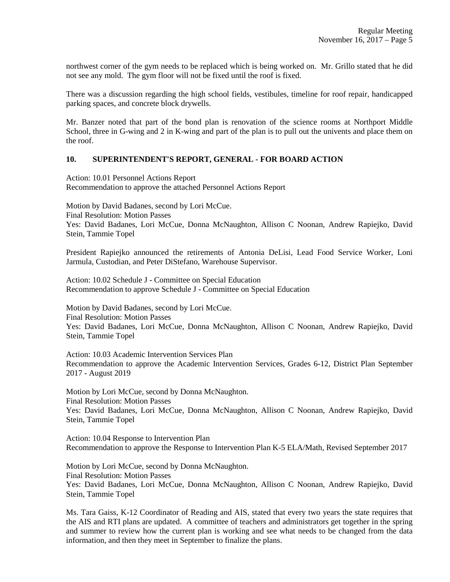northwest corner of the gym needs to be replaced which is being worked on. Mr. Grillo stated that he did not see any mold. The gym floor will not be fixed until the roof is fixed.

There was a discussion regarding the high school fields, vestibules, timeline for roof repair, handicapped parking spaces, and concrete block drywells.

Mr. Banzer noted that part of the bond plan is renovation of the science rooms at Northport Middle School, three in G-wing and 2 in K-wing and part of the plan is to pull out the univents and place them on the roof.

# **10. SUPERINTENDENT'S REPORT, GENERAL - FOR BOARD ACTION**

Action: 10.01 Personnel Actions Report Recommendation to approve the attached Personnel Actions Report

Motion by David Badanes, second by Lori McCue. Final Resolution: Motion Passes Yes: David Badanes, Lori McCue, Donna McNaughton, Allison C Noonan, Andrew Rapiejko, David Stein, Tammie Topel

President Rapiejko announced the retirements of Antonia DeLisi, Lead Food Service Worker, Loni Jarmula, Custodian, and Peter DiStefano, Warehouse Supervisor.

Action: 10.02 Schedule J - Committee on Special Education Recommendation to approve Schedule J - Committee on Special Education

Motion by David Badanes, second by Lori McCue. Final Resolution: Motion Passes Yes: David Badanes, Lori McCue, Donna McNaughton, Allison C Noonan, Andrew Rapiejko, David Stein, Tammie Topel

Action: 10.03 Academic Intervention Services Plan Recommendation to approve the Academic Intervention Services, Grades 6-12, District Plan September 2017 - August 2019

Motion by Lori McCue, second by Donna McNaughton. Final Resolution: Motion Passes Yes: David Badanes, Lori McCue, Donna McNaughton, Allison C Noonan, Andrew Rapiejko, David Stein, Tammie Topel

Action: 10.04 Response to Intervention Plan Recommendation to approve the Response to Intervention Plan K-5 ELA/Math, Revised September 2017

Motion by Lori McCue, second by Donna McNaughton. Final Resolution: Motion Passes Yes: David Badanes, Lori McCue, Donna McNaughton, Allison C Noonan, Andrew Rapiejko, David Stein, Tammie Topel

Ms. Tara Gaiss, K-12 Coordinator of Reading and AIS, stated that every two years the state requires that the AIS and RTI plans are updated. A committee of teachers and administrators get together in the spring and summer to review how the current plan is working and see what needs to be changed from the data information, and then they meet in September to finalize the plans.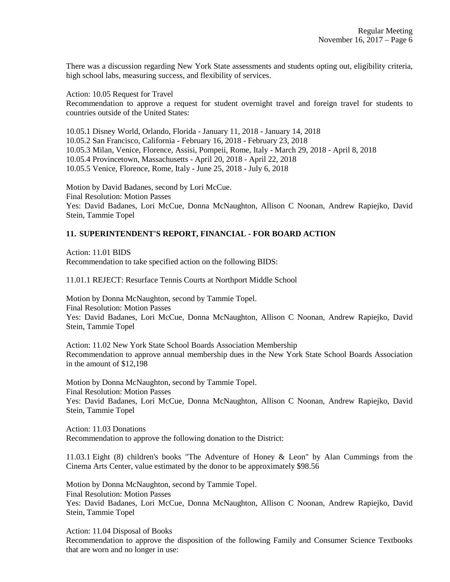There was a discussion regarding New York State assessments and students opting out, eligibility criteria, high school labs, measuring success, and flexibility of services.

Action: 10.05 Request for Travel Recommendation to approve a request for student overnight travel and foreign travel for students to countries outside of the United States:

10.05.1 Disney World, Orlando, Florida - January 11, 2018 - January 14, 2018 10.05.2 San Francisco, California - February 16, 2018 - February 23, 2018 10.05.3 Milan, Venice, Florence, Assisi, Pompeii, Rome, Italy - March 29, 2018 - April 8, 2018 10.05.4 Provincetown, Massachusetts - April 20, 2018 - April 22, 2018 10.05.5 Venice, Florence, Rome, Italy - June 25, 2018 - July 6, 2018

Motion by David Badanes, second by Lori McCue. Final Resolution: Motion Passes Yes: David Badanes, Lori McCue, Donna McNaughton, Allison C Noonan, Andrew Rapiejko, David Stein, Tammie Topel

# **11. SUPERINTENDENT'S REPORT, FINANCIAL - FOR BOARD ACTION**

Action: 11.01 BIDS Recommendation to take specified action on the following BIDS:

11.01.1 REJECT: Resurface Tennis Courts at Northport Middle School

Motion by Donna McNaughton, second by Tammie Topel. Final Resolution: Motion Passes Yes: David Badanes, Lori McCue, Donna McNaughton, Allison C Noonan, Andrew Rapiejko, David Stein, Tammie Topel

Action: 11.02 New York State School Boards Association Membership Recommendation to approve annual membership dues in the New York State School Boards Association in the amount of \$12,198

Motion by Donna McNaughton, second by Tammie Topel. Final Resolution: Motion Passes Yes: David Badanes, Lori McCue, Donna McNaughton, Allison C Noonan, Andrew Rapiejko, David Stein, Tammie Topel

Action: 11.03 Donations Recommendation to approve the following donation to the District:

11.03.1 Eight (8) children's books "The Adventure of Honey & Leon" by Alan Cummings from the Cinema Arts Center, value estimated by the donor to be approximately \$98.56

Motion by Donna McNaughton, second by Tammie Topel. Final Resolution: Motion Passes Yes: David Badanes, Lori McCue, Donna McNaughton, Allison C Noonan, Andrew Rapiejko, David Stein, Tammie Topel

Action: 11.04 Disposal of Books

Recommendation to approve the disposition of the following Family and Consumer Science Textbooks that are worn and no longer in use: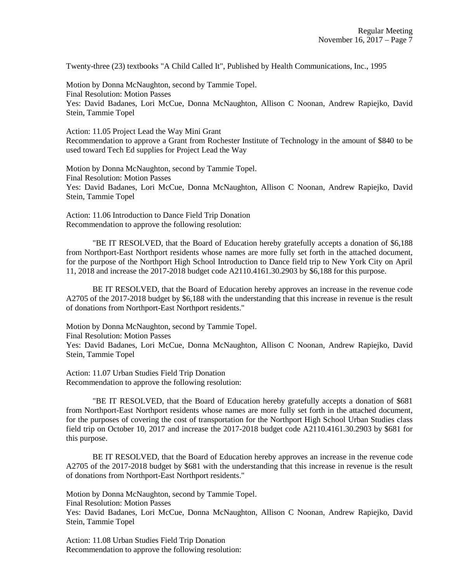Twenty-three (23) textbooks "A Child Called It", Published by Health Communications, Inc., 1995

Motion by Donna McNaughton, second by Tammie Topel. Final Resolution: Motion Passes Yes: David Badanes, Lori McCue, Donna McNaughton, Allison C Noonan, Andrew Rapiejko, David Stein, Tammie Topel

Action: 11.05 Project Lead the Way Mini Grant Recommendation to approve a Grant from Rochester Institute of Technology in the amount of \$840 to be used toward Tech Ed supplies for Project Lead the Way

Motion by Donna McNaughton, second by Tammie Topel. Final Resolution: Motion Passes Yes: David Badanes, Lori McCue, Donna McNaughton, Allison C Noonan, Andrew Rapiejko, David Stein, Tammie Topel

Action: 11.06 Introduction to Dance Field Trip Donation Recommendation to approve the following resolution:

"BE IT RESOLVED, that the Board of Education hereby gratefully accepts a donation of \$6,188 from Northport-East Northport residents whose names are more fully set forth in the attached document, for the purpose of the Northport High School Introduction to Dance field trip to New York City on April 11, 2018 and increase the 2017-2018 budget code A2110.4161.30.2903 by \$6,188 for this purpose.

BE IT RESOLVED, that the Board of Education hereby approves an increase in the revenue code A2705 of the 2017-2018 budget by \$6,188 with the understanding that this increase in revenue is the result of donations from Northport-East Northport residents."

Motion by Donna McNaughton, second by Tammie Topel. Final Resolution: Motion Passes

Yes: David Badanes, Lori McCue, Donna McNaughton, Allison C Noonan, Andrew Rapiejko, David Stein, Tammie Topel

Action: 11.07 Urban Studies Field Trip Donation Recommendation to approve the following resolution:

"BE IT RESOLVED, that the Board of Education hereby gratefully accepts a donation of \$681 from Northport-East Northport residents whose names are more fully set forth in the attached document, for the purposes of covering the cost of transportation for the Northport High School Urban Studies class field trip on October 10, 2017 and increase the 2017-2018 budget code A2110.4161.30.2903 by \$681 for this purpose.

BE IT RESOLVED, that the Board of Education hereby approves an increase in the revenue code A2705 of the 2017-2018 budget by \$681 with the understanding that this increase in revenue is the result of donations from Northport-East Northport residents."

Motion by Donna McNaughton, second by Tammie Topel.

Final Resolution: Motion Passes

Yes: David Badanes, Lori McCue, Donna McNaughton, Allison C Noonan, Andrew Rapiejko, David Stein, Tammie Topel

Action: 11.08 Urban Studies Field Trip Donation Recommendation to approve the following resolution: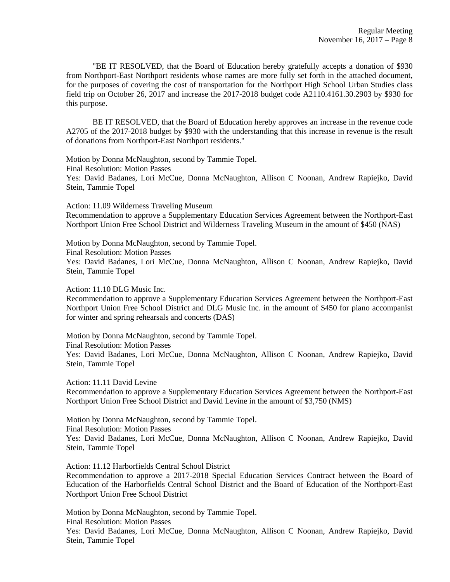"BE IT RESOLVED, that the Board of Education hereby gratefully accepts a donation of \$930 from Northport-East Northport residents whose names are more fully set forth in the attached document, for the purposes of covering the cost of transportation for the Northport High School Urban Studies class field trip on October 26, 2017 and increase the 2017-2018 budget code A2110.4161.30.2903 by \$930 for this purpose.

BE IT RESOLVED, that the Board of Education hereby approves an increase in the revenue code A2705 of the 2017-2018 budget by \$930 with the understanding that this increase in revenue is the result of donations from Northport-East Northport residents."

Motion by Donna McNaughton, second by Tammie Topel. Final Resolution: Motion Passes Yes: David Badanes, Lori McCue, Donna McNaughton, Allison C Noonan, Andrew Rapiejko, David Stein, Tammie Topel

Action: 11.09 Wilderness Traveling Museum Recommendation to approve a Supplementary Education Services Agreement between the Northport-East Northport Union Free School District and Wilderness Traveling Museum in the amount of \$450 (NAS)

Motion by Donna McNaughton, second by Tammie Topel. Final Resolution: Motion Passes

Yes: David Badanes, Lori McCue, Donna McNaughton, Allison C Noonan, Andrew Rapiejko, David Stein, Tammie Topel

Action: 11.10 DLG Music Inc.

Recommendation to approve a Supplementary Education Services Agreement between the Northport-East Northport Union Free School District and DLG Music Inc. in the amount of \$450 for piano accompanist for winter and spring rehearsals and concerts (DAS)

Motion by Donna McNaughton, second by Tammie Topel.

Final Resolution: Motion Passes

Yes: David Badanes, Lori McCue, Donna McNaughton, Allison C Noonan, Andrew Rapiejko, David Stein, Tammie Topel

Action: 11.11 David Levine

Recommendation to approve a Supplementary Education Services Agreement between the Northport-East Northport Union Free School District and David Levine in the amount of \$3,750 (NMS)

Motion by Donna McNaughton, second by Tammie Topel.

Final Resolution: Motion Passes

Yes: David Badanes, Lori McCue, Donna McNaughton, Allison C Noonan, Andrew Rapiejko, David Stein, Tammie Topel

Action: 11.12 Harborfields Central School District

Recommendation to approve a 2017-2018 Special Education Services Contract between the Board of Education of the Harborfields Central School District and the Board of Education of the Northport-East Northport Union Free School District

Motion by Donna McNaughton, second by Tammie Topel.

Final Resolution: Motion Passes

Yes: David Badanes, Lori McCue, Donna McNaughton, Allison C Noonan, Andrew Rapiejko, David Stein, Tammie Topel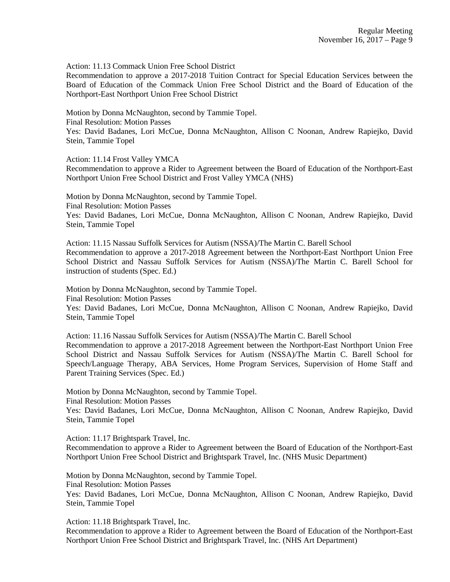Action: 11.13 Commack Union Free School District

Recommendation to approve a 2017-2018 Tuition Contract for Special Education Services between the Board of Education of the Commack Union Free School District and the Board of Education of the Northport-East Northport Union Free School District

Motion by Donna McNaughton, second by Tammie Topel.

Final Resolution: Motion Passes

Yes: David Badanes, Lori McCue, Donna McNaughton, Allison C Noonan, Andrew Rapiejko, David Stein, Tammie Topel

Action: 11.14 Frost Valley YMCA

Recommendation to approve a Rider to Agreement between the Board of Education of the Northport-East Northport Union Free School District and Frost Valley YMCA (NHS)

Motion by Donna McNaughton, second by Tammie Topel. Final Resolution: Motion Passes Yes: David Badanes, Lori McCue, Donna McNaughton, Allison C Noonan, Andrew Rapiejko, David Stein, Tammie Topel

Action: 11.15 Nassau Suffolk Services for Autism (NSSA)/The Martin C. Barell School Recommendation to approve a 2017-2018 Agreement between the Northport-East Northport Union Free School District and Nassau Suffolk Services for Autism (NSSA)/The Martin C. Barell School for instruction of students (Spec. Ed.)

Motion by Donna McNaughton, second by Tammie Topel. Final Resolution: Motion Passes Yes: David Badanes, Lori McCue, Donna McNaughton, Allison C Noonan, Andrew Rapiejko, David Stein, Tammie Topel

Action: 11.16 Nassau Suffolk Services for Autism (NSSA)/The Martin C. Barell School Recommendation to approve a 2017-2018 Agreement between the Northport-East Northport Union Free School District and Nassau Suffolk Services for Autism (NSSA)/The Martin C. Barell School for Speech/Language Therapy, ABA Services, Home Program Services, Supervision of Home Staff and Parent Training Services (Spec. Ed.)

Motion by Donna McNaughton, second by Tammie Topel.

Final Resolution: Motion Passes

Yes: David Badanes, Lori McCue, Donna McNaughton, Allison C Noonan, Andrew Rapiejko, David Stein, Tammie Topel

Action: 11.17 Brightspark Travel, Inc.

Recommendation to approve a Rider to Agreement between the Board of Education of the Northport-East Northport Union Free School District and Brightspark Travel, Inc. (NHS Music Department)

Motion by Donna McNaughton, second by Tammie Topel.

Final Resolution: Motion Passes

Yes: David Badanes, Lori McCue, Donna McNaughton, Allison C Noonan, Andrew Rapiejko, David Stein, Tammie Topel

Action: 11.18 Brightspark Travel, Inc.

Recommendation to approve a Rider to Agreement between the Board of Education of the Northport-East Northport Union Free School District and Brightspark Travel, Inc. (NHS Art Department)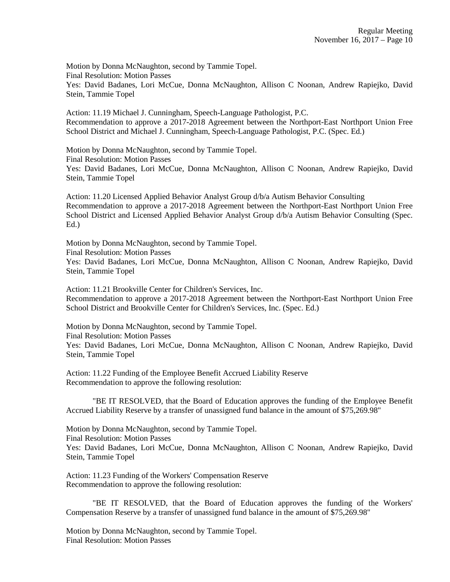Motion by Donna McNaughton, second by Tammie Topel. Final Resolution: Motion Passes Yes: David Badanes, Lori McCue, Donna McNaughton, Allison C Noonan, Andrew Rapiejko, David Stein, Tammie Topel

Action: 11.19 Michael J. Cunningham, Speech-Language Pathologist, P.C. Recommendation to approve a 2017-2018 Agreement between the Northport-East Northport Union Free School District and Michael J. Cunningham, Speech-Language Pathologist, P.C. (Spec. Ed.)

Motion by Donna McNaughton, second by Tammie Topel. Final Resolution: Motion Passes Yes: David Badanes, Lori McCue, Donna McNaughton, Allison C Noonan, Andrew Rapiejko, David Stein, Tammie Topel

Action: 11.20 Licensed Applied Behavior Analyst Group d/b/a Autism Behavior Consulting Recommendation to approve a 2017-2018 Agreement between the Northport-East Northport Union Free School District and Licensed Applied Behavior Analyst Group d/b/a Autism Behavior Consulting (Spec. Ed.)

Motion by Donna McNaughton, second by Tammie Topel. Final Resolution: Motion Passes

Yes: David Badanes, Lori McCue, Donna McNaughton, Allison C Noonan, Andrew Rapiejko, David Stein, Tammie Topel

Action: 11.21 Brookville Center for Children's Services, Inc. Recommendation to approve a 2017-2018 Agreement between the Northport-East Northport Union Free School District and Brookville Center for Children's Services, Inc. (Spec. Ed.)

Motion by Donna McNaughton, second by Tammie Topel. Final Resolution: Motion Passes Yes: David Badanes, Lori McCue, Donna McNaughton, Allison C Noonan, Andrew Rapiejko, David Stein, Tammie Topel

Action: 11.22 Funding of the Employee Benefit Accrued Liability Reserve Recommendation to approve the following resolution:

"BE IT RESOLVED, that the Board of Education approves the funding of the Employee Benefit Accrued Liability Reserve by a transfer of unassigned fund balance in the amount of \$75,269.98"

Motion by Donna McNaughton, second by Tammie Topel. Final Resolution: Motion Passes Yes: David Badanes, Lori McCue, Donna McNaughton, Allison C Noonan, Andrew Rapiejko, David Stein, Tammie Topel

Action: 11.23 Funding of the Workers' Compensation Reserve Recommendation to approve the following resolution:

"BE IT RESOLVED, that the Board of Education approves the funding of the Workers' Compensation Reserve by a transfer of unassigned fund balance in the amount of \$75,269.98"

Motion by Donna McNaughton, second by Tammie Topel. Final Resolution: Motion Passes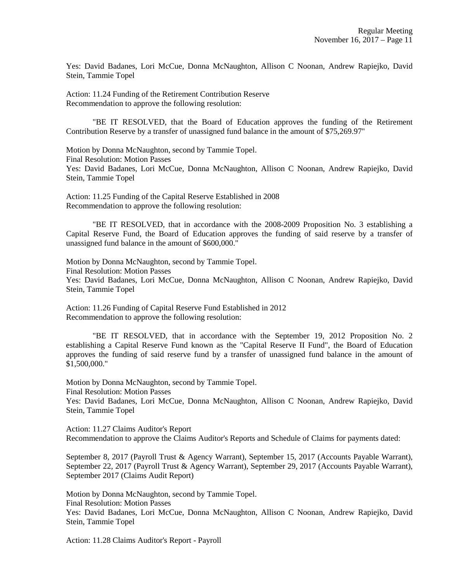Yes: David Badanes, Lori McCue, Donna McNaughton, Allison C Noonan, Andrew Rapiejko, David Stein, Tammie Topel

Action: 11.24 Funding of the Retirement Contribution Reserve Recommendation to approve the following resolution:

"BE IT RESOLVED, that the Board of Education approves the funding of the Retirement Contribution Reserve by a transfer of unassigned fund balance in the amount of \$75,269.97"

Motion by Donna McNaughton, second by Tammie Topel. Final Resolution: Motion Passes Yes: David Badanes, Lori McCue, Donna McNaughton, Allison C Noonan, Andrew Rapiejko, David Stein, Tammie Topel

Action: 11.25 Funding of the Capital Reserve Established in 2008 Recommendation to approve the following resolution:

"BE IT RESOLVED, that in accordance with the 2008-2009 Proposition No. 3 establishing a Capital Reserve Fund, the Board of Education approves the funding of said reserve by a transfer of unassigned fund balance in the amount of \$600,000."

Motion by Donna McNaughton, second by Tammie Topel. Final Resolution: Motion Passes Yes: David Badanes, Lori McCue, Donna McNaughton, Allison C Noonan, Andrew Rapiejko, David Stein, Tammie Topel

Action: 11.26 Funding of Capital Reserve Fund Established in 2012 Recommendation to approve the following resolution:

"BE IT RESOLVED, that in accordance with the September 19, 2012 Proposition No. 2 establishing a Capital Reserve Fund known as the "Capital Reserve II Fund", the Board of Education approves the funding of said reserve fund by a transfer of unassigned fund balance in the amount of \$1,500,000."

Motion by Donna McNaughton, second by Tammie Topel.

Final Resolution: Motion Passes

Yes: David Badanes, Lori McCue, Donna McNaughton, Allison C Noonan, Andrew Rapiejko, David Stein, Tammie Topel

Action: 11.27 Claims Auditor's Report Recommendation to approve the Claims Auditor's Reports and Schedule of Claims for payments dated:

September 8, 2017 (Payroll Trust & Agency Warrant), September 15, 2017 (Accounts Payable Warrant), September 22, 2017 (Payroll Trust & Agency Warrant), September 29, 2017 (Accounts Payable Warrant), September 2017 (Claims Audit Report)

Motion by Donna McNaughton, second by Tammie Topel.

Final Resolution: Motion Passes

Yes: David Badanes, Lori McCue, Donna McNaughton, Allison C Noonan, Andrew Rapiejko, David Stein, Tammie Topel

Action: 11.28 Claims Auditor's Report - Payroll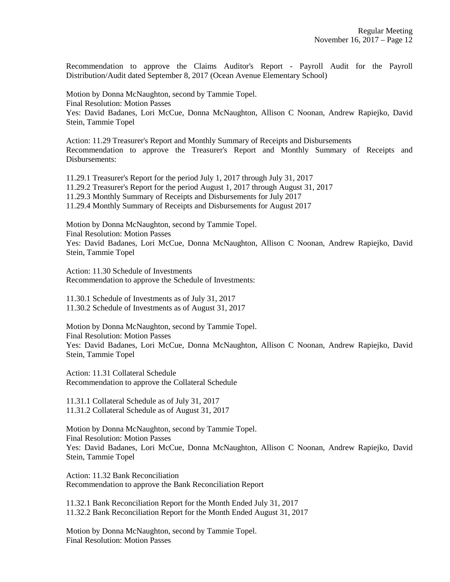Recommendation to approve the Claims Auditor's Report - Payroll Audit for the Payroll Distribution/Audit dated September 8, 2017 (Ocean Avenue Elementary School)

Motion by Donna McNaughton, second by Tammie Topel. Final Resolution: Motion Passes Yes: David Badanes, Lori McCue, Donna McNaughton, Allison C Noonan, Andrew Rapiejko, David Stein, Tammie Topel

Action: 11.29 Treasurer's Report and Monthly Summary of Receipts and Disbursements Recommendation to approve the Treasurer's Report and Monthly Summary of Receipts and Disbursements:

11.29.1 Treasurer's Report for the period July 1, 2017 through July 31, 2017 11.29.2 Treasurer's Report for the period August 1, 2017 through August 31, 2017 11.29.3 Monthly Summary of Receipts and Disbursements for July 2017 11.29.4 Monthly Summary of Receipts and Disbursements for August 2017

Motion by Donna McNaughton, second by Tammie Topel. Final Resolution: Motion Passes Yes: David Badanes, Lori McCue, Donna McNaughton, Allison C Noonan, Andrew Rapiejko, David Stein, Tammie Topel

Action: 11.30 Schedule of Investments Recommendation to approve the Schedule of Investments:

11.30.1 Schedule of Investments as of July 31, 2017 11.30.2 Schedule of Investments as of August 31, 2017

Motion by Donna McNaughton, second by Tammie Topel. Final Resolution: Motion Passes Yes: David Badanes, Lori McCue, Donna McNaughton, Allison C Noonan, Andrew Rapiejko, David Stein, Tammie Topel

Action: 11.31 Collateral Schedule Recommendation to approve the Collateral Schedule

11.31.1 Collateral Schedule as of July 31, 2017 11.31.2 Collateral Schedule as of August 31, 2017

Motion by Donna McNaughton, second by Tammie Topel. Final Resolution: Motion Passes Yes: David Badanes, Lori McCue, Donna McNaughton, Allison C Noonan, Andrew Rapiejko, David Stein, Tammie Topel

Action: 11.32 Bank Reconciliation Recommendation to approve the Bank Reconciliation Report

11.32.1 Bank Reconciliation Report for the Month Ended July 31, 2017 11.32.2 Bank Reconciliation Report for the Month Ended August 31, 2017

Motion by Donna McNaughton, second by Tammie Topel. Final Resolution: Motion Passes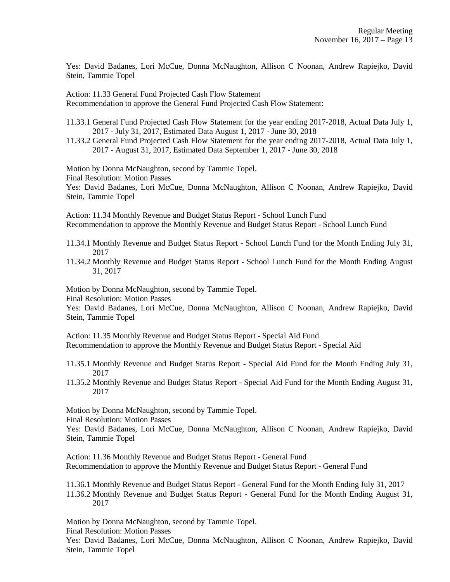Yes: David Badanes, Lori McCue, Donna McNaughton, Allison C Noonan, Andrew Rapiejko, David Stein, Tammie Topel

Action: 11.33 General Fund Projected Cash Flow Statement Recommendation to approve the General Fund Projected Cash Flow Statement:

11.33.1 General Fund Projected Cash Flow Statement for the year ending 2017-2018, Actual Data July 1, 2017 - July 31, 2017, Estimated Data August 1, 2017 - June 30, 2018

11.33.2 General Fund Projected Cash Flow Statement for the year ending 2017-2018, Actual Data July 1, 2017 - August 31, 2017, Estimated Data September 1, 2017 - June 30, 2018

Motion by Donna McNaughton, second by Tammie Topel.

Final Resolution: Motion Passes

Yes: David Badanes, Lori McCue, Donna McNaughton, Allison C Noonan, Andrew Rapiejko, David Stein, Tammie Topel

Action: 11.34 Monthly Revenue and Budget Status Report - School Lunch Fund Recommendation to approve the Monthly Revenue and Budget Status Report - School Lunch Fund

11.34.1 Monthly Revenue and Budget Status Report - School Lunch Fund for the Month Ending July 31, 2017

11.34.2 Monthly Revenue and Budget Status Report - School Lunch Fund for the Month Ending August 31, 2017

Motion by Donna McNaughton, second by Tammie Topel. Final Resolution: Motion Passes

Yes: David Badanes, Lori McCue, Donna McNaughton, Allison C Noonan, Andrew Rapiejko, David Stein, Tammie Topel

Action: 11.35 Monthly Revenue and Budget Status Report - Special Aid Fund Recommendation to approve the Monthly Revenue and Budget Status Report - Special Aid

- 11.35.1 Monthly Revenue and Budget Status Report Special Aid Fund for the Month Ending July 31, 2017
- 11.35.2 Monthly Revenue and Budget Status Report Special Aid Fund for the Month Ending August 31, 2017

Motion by Donna McNaughton, second by Tammie Topel.

Final Resolution: Motion Passes

Yes: David Badanes, Lori McCue, Donna McNaughton, Allison C Noonan, Andrew Rapiejko, David Stein, Tammie Topel

Action: 11.36 Monthly Revenue and Budget Status Report - General Fund Recommendation to approve the Monthly Revenue and Budget Status Report - General Fund

11.36.1 Monthly Revenue and Budget Status Report - General Fund for the Month Ending July 31, 2017 11.36.2 Monthly Revenue and Budget Status Report - General Fund for the Month Ending August 31, 2017

Motion by Donna McNaughton, second by Tammie Topel.

Final Resolution: Motion Passes

Yes: David Badanes, Lori McCue, Donna McNaughton, Allison C Noonan, Andrew Rapiejko, David Stein, Tammie Topel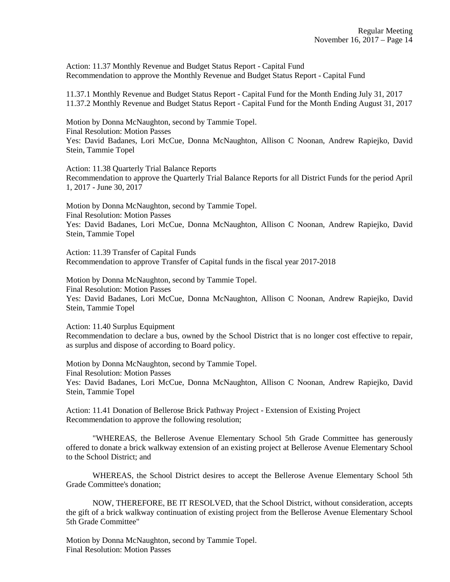Action: 11.37 Monthly Revenue and Budget Status Report - Capital Fund Recommendation to approve the Monthly Revenue and Budget Status Report - Capital Fund

11.37.1 Monthly Revenue and Budget Status Report - Capital Fund for the Month Ending July 31, 2017 11.37.2 Monthly Revenue and Budget Status Report - Capital Fund for the Month Ending August 31, 2017

Motion by Donna McNaughton, second by Tammie Topel. Final Resolution: Motion Passes Yes: David Badanes, Lori McCue, Donna McNaughton, Allison C Noonan, Andrew Rapiejko, David Stein, Tammie Topel

Action: 11.38 Quarterly Trial Balance Reports Recommendation to approve the Quarterly Trial Balance Reports for all District Funds for the period April 1, 2017 - June 30, 2017

Motion by Donna McNaughton, second by Tammie Topel. Final Resolution: Motion Passes Yes: David Badanes, Lori McCue, Donna McNaughton, Allison C Noonan, Andrew Rapiejko, David Stein, Tammie Topel

Action: 11.39 Transfer of Capital Funds Recommendation to approve Transfer of Capital funds in the fiscal year 2017-2018

Motion by Donna McNaughton, second by Tammie Topel. Final Resolution: Motion Passes Yes: David Badanes, Lori McCue, Donna McNaughton, Allison C Noonan, Andrew Rapiejko, David Stein, Tammie Topel

Action: 11.40 Surplus Equipment

Recommendation to declare a bus, owned by the School District that is no longer cost effective to repair, as surplus and dispose of according to Board policy.

Motion by Donna McNaughton, second by Tammie Topel. Final Resolution: Motion Passes Yes: David Badanes, Lori McCue, Donna McNaughton, Allison C Noonan, Andrew Rapiejko, David Stein, Tammie Topel

Action: 11.41 Donation of Bellerose Brick Pathway Project - Extension of Existing Project Recommendation to approve the following resolution;

"WHEREAS, the Bellerose Avenue Elementary School 5th Grade Committee has generously offered to donate a brick walkway extension of an existing project at Bellerose Avenue Elementary School to the School District; and

WHEREAS, the School District desires to accept the Bellerose Avenue Elementary School 5th Grade Committee's donation;

NOW, THEREFORE, BE IT RESOLVED, that the School District, without consideration, accepts the gift of a brick walkway continuation of existing project from the Bellerose Avenue Elementary School 5th Grade Committee"

Motion by Donna McNaughton, second by Tammie Topel. Final Resolution: Motion Passes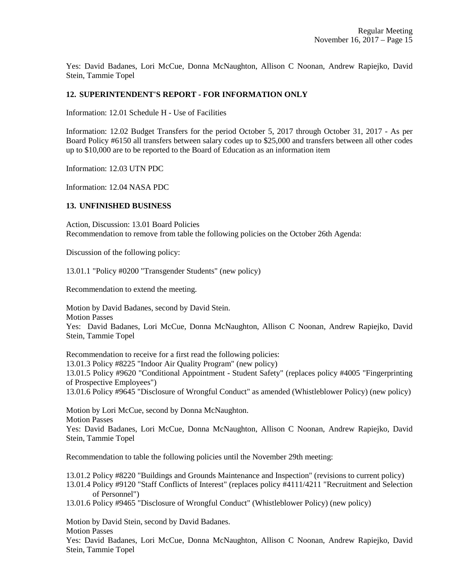Yes: David Badanes, Lori McCue, Donna McNaughton, Allison C Noonan, Andrew Rapiejko, David Stein, Tammie Topel

# **12. SUPERINTENDENT'S REPORT - FOR INFORMATION ONLY**

Information: 12.01 Schedule H - Use of Facilities

Information: 12.02 Budget Transfers for the period October 5, 2017 through October 31, 2017 - As per Board Policy #6150 all transfers between salary codes up to \$25,000 and transfers between all other codes up to \$10,000 are to be reported to the Board of Education as an information item

Information: 12.03 UTN PDC

Information: 12.04 NASA PDC

# **13. UNFINISHED BUSINESS**

Action, Discussion: 13.01 Board Policies Recommendation to remove from table the following policies on the October 26th Agenda:

Discussion of the following policy:

13.01.1 "Policy #0200 "Transgender Students" (new policy)

Recommendation to extend the meeting.

Motion by David Badanes, second by David Stein.

Motion Passes

Yes: David Badanes, Lori McCue, Donna McNaughton, Allison C Noonan, Andrew Rapiejko, David Stein, Tammie Topel

Recommendation to receive for a first read the following policies:

13.01.3 Policy #8225 "Indoor Air Quality Program" (new policy)

13.01.5 Policy #9620 "Conditional Appointment - Student Safety" (replaces policy #4005 "Fingerprinting of Prospective Employees")

13.01.6 Policy #9645 "Disclosure of Wrongful Conduct" as amended (Whistleblower Policy) (new policy)

Motion by Lori McCue, second by Donna McNaughton. Motion Passes

Yes: David Badanes, Lori McCue, Donna McNaughton, Allison C Noonan, Andrew Rapiejko, David Stein, Tammie Topel

Recommendation to table the following policies until the November 29th meeting:

13.01.2 Policy #8220 "Buildings and Grounds Maintenance and Inspection" (revisions to current policy) 13.01.4 Policy #9120 "Staff Conflicts of Interest" (replaces policy #4111/4211 "Recruitment and Selection of Personnel")

13.01.6 Policy #9465 "Disclosure of Wrongful Conduct" (Whistleblower Policy) (new policy)

Motion by David Stein, second by David Badanes.

Motion Passes

Yes: David Badanes, Lori McCue, Donna McNaughton, Allison C Noonan, Andrew Rapiejko, David Stein, Tammie Topel